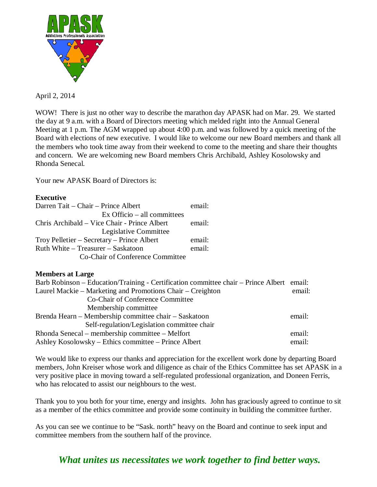

April 2, 2014

WOW! There is just no other way to describe the marathon day APASK had on Mar. 29. We started the day at 9 a.m. with a Board of Directors meeting which melded right into the Annual General Meeting at 1 p.m. The AGM wrapped up about 4:00 p.m. and was followed by a quick meeting of the Board with elections of new executive. I would like to welcome our new Board members and thank all the members who took time away from their weekend to come to the meeting and share their thoughts and concern. We are welcoming new Board members Chris Archibald, Ashley Kosolowsky and Rhonda Senecal.

Your new APASK Board of Directors is:

## **Executive**

| Darren Tait – Chair – Prince Albert          | email: |
|----------------------------------------------|--------|
| $Ex$ Officio – all committees                |        |
| Chris Archibald – Vice Chair - Prince Albert | email: |
| Legislative Committee                        |        |
| $Troy$ Pelletier – Secretary – Prince Albert | email: |
| Ruth White – Treasurer – Saskatoon           | email: |
| Co-Chair of Conference Committee             |        |
|                                              |        |

## **Members at Large**

| Barb Robinson – Education/Training - Certification committee chair – Prince Albert email: |        |
|-------------------------------------------------------------------------------------------|--------|
| Laurel Mackie – Marketing and Promotions Chair – Creighton                                |        |
| Co-Chair of Conference Committee                                                          |        |
| Membership committee                                                                      |        |
| Brenda Hearn – Membership committee chair – Saskatoon                                     | email: |
| Self-regulation/Legislation committee chair                                               |        |
| Rhonda Senecal – membership committee – Melfort                                           | email: |
| Ashley Kosolowsky – Ethics committee – Prince Albert                                      | email: |

We would like to express our thanks and appreciation for the excellent work done by departing Board members, John Kreiser whose work and diligence as chair of the Ethics Committee has set APASK in a very positive place in moving toward a self-regulated professional organization, and Doneen Ferris, who has relocated to assist our neighbours to the west.

Thank you to you both for your time, energy and insights. John has graciously agreed to continue to sit as a member of the ethics committee and provide some continuity in building the committee further.

As you can see we continue to be "Sask. north" heavy on the Board and continue to seek input and committee members from the southern half of the province.

## *What unites us necessitates we work together to find better ways.*